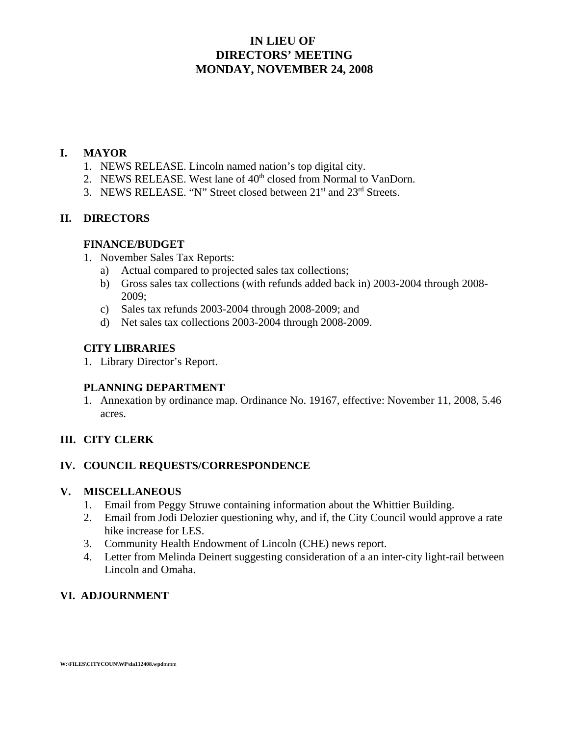### **IN LIEU OF DIRECTORS' MEETING MONDAY, NOVEMBER 24, 2008**

#### **I. MAYOR**

- 1. NEWS RELEASE. Lincoln named nation's top digital city.
- 2. NEWS RELEASE. West lane of 40<sup>th</sup> closed from Normal to VanDorn.
- 3. NEWS RELEASE. "N" Street closed between  $21<sup>st</sup>$  and  $23<sup>rd</sup>$  Streets.

#### **II. DIRECTORS**

#### **FINANCE/BUDGET**

- 1. November Sales Tax Reports:
	- a) Actual compared to projected sales tax collections;
	- b) Gross sales tax collections (with refunds added back in) 2003-2004 through 2008- 2009;
	- c) Sales tax refunds 2003-2004 through 2008-2009; and
	- d) Net sales tax collections 2003-2004 through 2008-2009.

#### **CITY LIBRARIES**

1. Library Director's Report.

#### **PLANNING DEPARTMENT**

1. Annexation by ordinance map. Ordinance No. 19167, effective: November 11, 2008, 5.46 acres.

#### **III. CITY CLERK**

#### **IV. COUNCIL REQUESTS/CORRESPONDENCE**

#### **V. MISCELLANEOUS**

- 1. Email from Peggy Struwe containing information about the Whittier Building.
- 2. Email from Jodi Delozier questioning why, and if, the City Council would approve a rate hike increase for LES.
- 3. Community Health Endowment of Lincoln (CHE) news report.
- 4. Letter from Melinda Deinert suggesting consideration of a an inter-city light-rail between Lincoln and Omaha.

### **VI. ADJOURNMENT**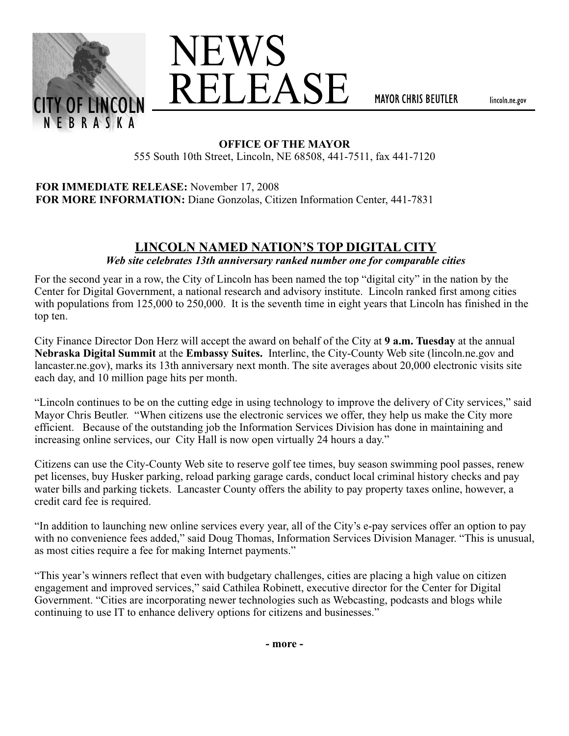



**MAYOR CHRIS BEUTLER** 

lincoln.ne.gov

#### **OFFICE OF THE MAYOR**

555 South 10th Street, Lincoln, NE 68508, 441-7511, fax 441-7120

#### **FOR IMMEDIATE RELEASE:** November 17, 2008 **FOR MORE INFORMATION:** Diane Gonzolas, Citizen Information Center, 441-7831

# **LINCOLN NAMED NATION'S TOP DIGITAL CITY**

*Web site celebrates 13th anniversary ranked number one for comparable cities*

For the second year in a row, the City of Lincoln has been named the top "digital city" in the nation by the Center for Digital Government, a national research and advisory institute. Lincoln ranked first among cities with populations from 125,000 to 250,000. It is the seventh time in eight years that Lincoln has finished in the top ten.

City Finance Director Don Herz will accept the award on behalf of the City at **9 a.m. Tuesday** at the annual **Nebraska Digital Summit** at the **Embassy Suites.** Interlinc, the City-County Web site (lincoln.ne.gov and lancaster.ne.gov), marks its 13th anniversary next month. The site averages about 20,000 electronic visits site each day, and 10 million page hits per month.

"Lincoln continues to be on the cutting edge in using technology to improve the delivery of City services," said Mayor Chris Beutler. "When citizens use the electronic services we offer, they help us make the City more efficient. Because of the outstanding job the Information Services Division has done in maintaining and increasing online services, our City Hall is now open virtually 24 hours a day."

Citizens can use the City-County Web site to reserve golf tee times, buy season swimming pool passes, renew pet licenses, buy Husker parking, reload parking garage cards, conduct local criminal history checks and pay water bills and parking tickets. Lancaster County offers the ability to pay property taxes online, however, a credit card fee is required.

"In addition to launching new online services every year, all of the City's e-pay services offer an option to pay with no convenience fees added," said Doug Thomas, Information Services Division Manager. "This is unusual, as most cities require a fee for making Internet payments."

"This year's winners reflect that even with budgetary challenges, cities are placing a high value on citizen engagement and improved services," said Cathilea Robinett, executive director for the Center for Digital Government. "Cities are incorporating newer technologies such as Webcasting, podcasts and blogs while continuing to use IT to enhance delivery options for citizens and businesses."

**- more -**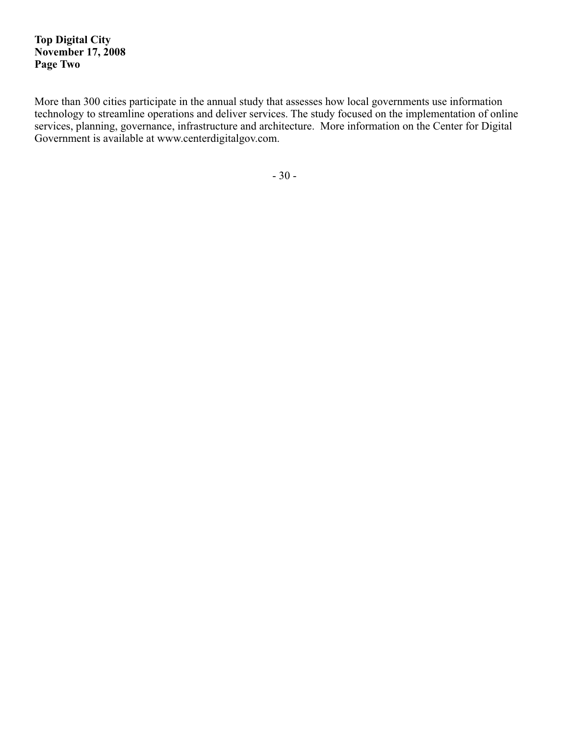**Top Digital City November 17, 2008 Page Two**

More than 300 cities participate in the annual study that assesses how local governments use information technology to streamline operations and deliver services. The study focused on the implementation of online services, planning, governance, infrastructure and architecture. More information on the Center for Digital Government is available at www.centerdigitalgov.com.

- 30 -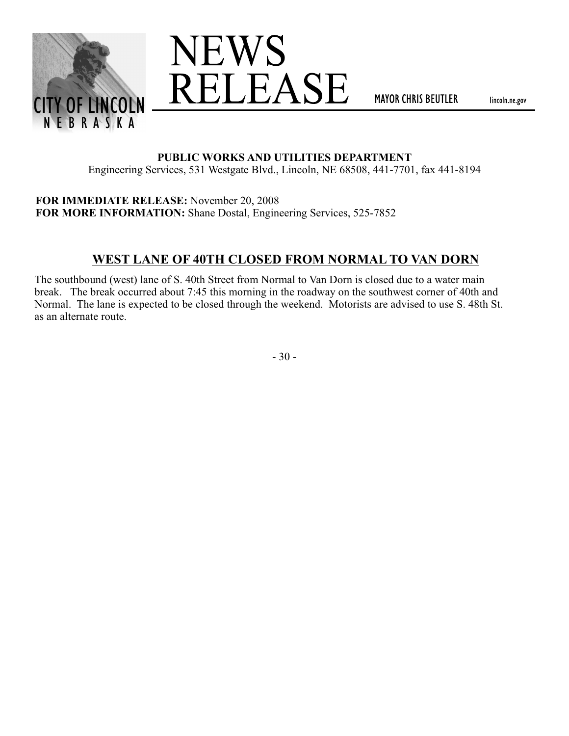



**MAYOR CHRIS BEUTLER** 

lincoln.ne.gov

#### **PUBLIC WORKS AND UTILITIES DEPARTMENT**

Engineering Services, 531 Westgate Blvd., Lincoln, NE 68508, 441-7701, fax 441-8194

**FOR IMMEDIATE RELEASE:** November 20, 2008 **FOR MORE INFORMATION:** Shane Dostal, Engineering Services, 525-7852

## **WEST LANE OF 40TH CLOSED FROM NORMAL TO VAN DORN**

The southbound (west) lane of S. 40th Street from Normal to Van Dorn is closed due to a water main break. The break occurred about 7:45 this morning in the roadway on the southwest corner of 40th and Normal. The lane is expected to be closed through the weekend. Motorists are advised to use S. 48th St. as an alternate route.

- 30 -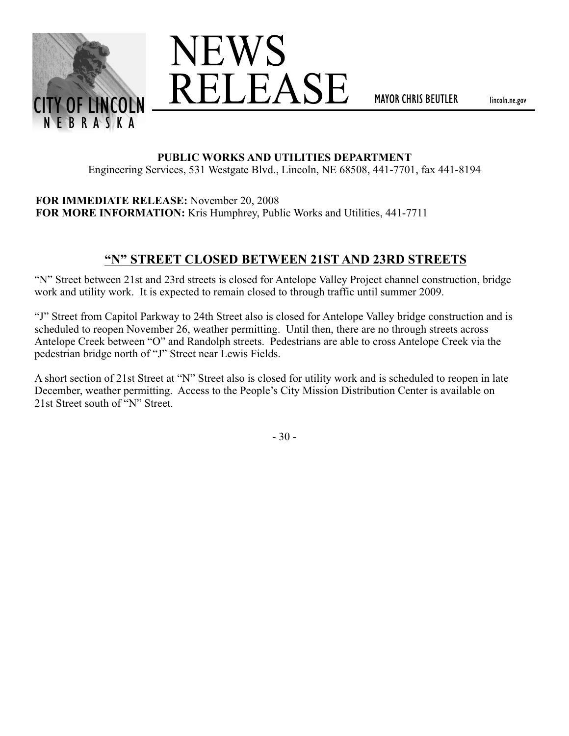



**MAYOR CHRIS BEUTLER** 

lincoln.ne.gov

#### **PUBLIC WORKS AND UTILITIES DEPARTMENT**

Engineering Services, 531 Westgate Blvd., Lincoln, NE 68508, 441-7701, fax 441-8194

**FOR IMMEDIATE RELEASE:** November 20, 2008 **FOR MORE INFORMATION:** Kris Humphrey, Public Works and Utilities, 441-7711

## **"N" STREET CLOSED BETWEEN 21ST AND 23RD STREETS**

"N" Street between 21st and 23rd streets is closed for Antelope Valley Project channel construction, bridge work and utility work. It is expected to remain closed to through traffic until summer 2009.

"J" Street from Capitol Parkway to 24th Street also is closed for Antelope Valley bridge construction and is scheduled to reopen November 26, weather permitting. Until then, there are no through streets across Antelope Creek between "O" and Randolph streets. Pedestrians are able to cross Antelope Creek via the pedestrian bridge north of "J" Street near Lewis Fields.

A short section of 21st Street at "N" Street also is closed for utility work and is scheduled to reopen in late December, weather permitting. Access to the People's City Mission Distribution Center is available on 21st Street south of "N" Street.

- 30 -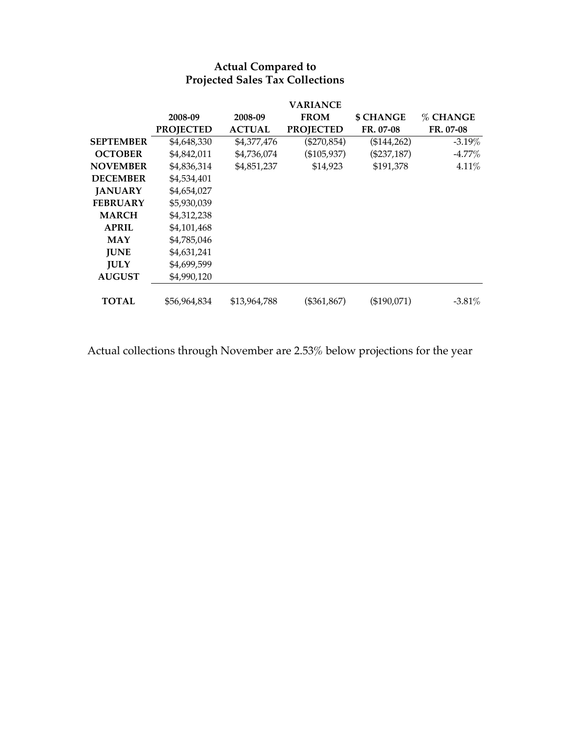|                 | 2008-09<br><b>PROJECTED</b> | 2008-09<br><b>ACTUAL</b> | <b>VARIANCE</b><br><b>FROM</b><br><b>PROJECTED</b> | <b>\$ CHANGE</b><br>FR. 07-08 | % CHANGE<br>FR. 07-08 |
|-----------------|-----------------------------|--------------------------|----------------------------------------------------|-------------------------------|-----------------------|
| SEPTEMBER       | \$4,648,330                 | \$4,377,476              | $(\$270,854)$                                      | (\$144,262)                   | $-3.19\%$             |
| <b>OCTOBER</b>  | \$4,842,011                 | \$4,736,074              | (\$105,937)                                        | $(\$237,187)$                 | $-4.77\%$             |
| <b>NOVEMBER</b> | \$4,836,314                 | \$4,851,237              | \$14,923                                           | \$191,378                     | 4.11%                 |
| <b>DECEMBER</b> | \$4,534,401                 |                          |                                                    |                               |                       |
| <b>JANUARY</b>  | \$4,654,027                 |                          |                                                    |                               |                       |
| <b>FEBRUARY</b> | \$5,930,039                 |                          |                                                    |                               |                       |
| <b>MARCH</b>    | \$4,312,238                 |                          |                                                    |                               |                       |
| <b>APRIL</b>    | \$4,101,468                 |                          |                                                    |                               |                       |
| MAY             | \$4,785,046                 |                          |                                                    |                               |                       |
| <b>JUNE</b>     | \$4,631,241                 |                          |                                                    |                               |                       |
| <b>JULY</b>     | \$4,699,599                 |                          |                                                    |                               |                       |
| <b>AUGUST</b>   | \$4,990,120                 |                          |                                                    |                               |                       |
| <b>TOTAL</b>    | \$56.964.834                | \$13,964,788             | $(\$361,867)$                                      | (\$190,071)                   | $-3.81\%$             |

#### **Actual Compared to Projected Sales Tax Collections**

Actual collections through November are 2.53% below projections for the year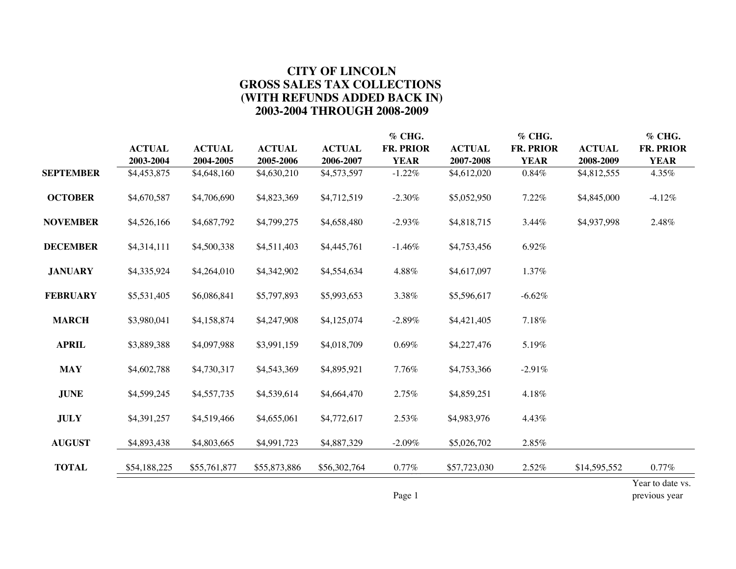### **CITY OF LINCOLN GROSS SALES TAX COLLECTIONS (WITH REFUNDS ADDED BACK IN) 2003-2004 THROUGH 2008-2009**

|                  |                            |                            |                            |                            | % CHG.                          |                            | % CHG.                   |                            | % CHG.                   |
|------------------|----------------------------|----------------------------|----------------------------|----------------------------|---------------------------------|----------------------------|--------------------------|----------------------------|--------------------------|
|                  | <b>ACTUAL</b><br>2003-2004 | <b>ACTUAL</b><br>2004-2005 | <b>ACTUAL</b><br>2005-2006 | <b>ACTUAL</b><br>2006-2007 | <b>FR. PRIOR</b><br><b>YEAR</b> | <b>ACTUAL</b><br>2007-2008 | FR. PRIOR<br><b>YEAR</b> | <b>ACTUAL</b><br>2008-2009 | FR. PRIOR<br><b>YEAR</b> |
| <b>SEPTEMBER</b> | \$4,453,875                | \$4,648,160                | \$4,630,210                | \$4,573,597                | $-1.22%$                        | \$4,612,020                | $0.84\%$                 | \$4,812,555                | 4.35%                    |
| <b>OCTOBER</b>   | \$4,670,587                | \$4,706,690                | \$4,823,369                | \$4,712,519                | $-2.30%$                        | \$5,052,950                | 7.22%                    | \$4,845,000                | $-4.12%$                 |
| <b>NOVEMBER</b>  | \$4,526,166                | \$4,687,792                | \$4,799,275                | \$4,658,480                | $-2.93%$                        | \$4,818,715                | 3.44%                    | \$4,937,998                | 2.48%                    |
| <b>DECEMBER</b>  | \$4,314,111                | \$4,500,338                | \$4,511,403                | \$4,445,761                | $-1.46%$                        | \$4,753,456                | 6.92%                    |                            |                          |
| <b>JANUARY</b>   | \$4,335,924                | \$4,264,010                | \$4,342,902                | \$4,554,634                | 4.88%                           | \$4,617,097                | 1.37%                    |                            |                          |
| <b>FEBRUARY</b>  | \$5,531,405                | \$6,086,841                | \$5,797,893                | \$5,993,653                | 3.38%                           | \$5,596,617                | $-6.62%$                 |                            |                          |
| <b>MARCH</b>     | \$3,980,041                | \$4,158,874                | \$4,247,908                | \$4,125,074                | $-2.89%$                        | \$4,421,405                | 7.18%                    |                            |                          |
| <b>APRIL</b>     | \$3,889,388                | \$4,097,988                | \$3,991,159                | \$4,018,709                | 0.69%                           | \$4,227,476                | 5.19%                    |                            |                          |
| <b>MAY</b>       | \$4,602,788                | \$4,730,317                | \$4,543,369                | \$4,895,921                | 7.76%                           | \$4,753,366                | $-2.91%$                 |                            |                          |
| <b>JUNE</b>      | \$4,599,245                | \$4,557,735                | \$4,539,614                | \$4,664,470                | 2.75%                           | \$4,859,251                | 4.18%                    |                            |                          |
| <b>JULY</b>      | \$4,391,257                | \$4,519,466                | \$4,655,061                | \$4,772,617                | 2.53%                           | \$4,983,976                | 4.43%                    |                            |                          |
| <b>AUGUST</b>    | \$4,893,438                | \$4,803,665                | \$4,991,723                | \$4,887,329                | $-2.09\%$                       | \$5,026,702                | 2.85%                    |                            |                          |
| <b>TOTAL</b>     | \$54,188,225               | \$55,761,877               | \$55,873,886               | \$56,302,764               | $0.77\%$                        | \$57,723,030               | 2.52%                    | \$14,595,552               | $0.77\%$                 |
|                  |                            |                            |                            |                            |                                 |                            |                          |                            | Year to date vs.         |

Page 1 previous year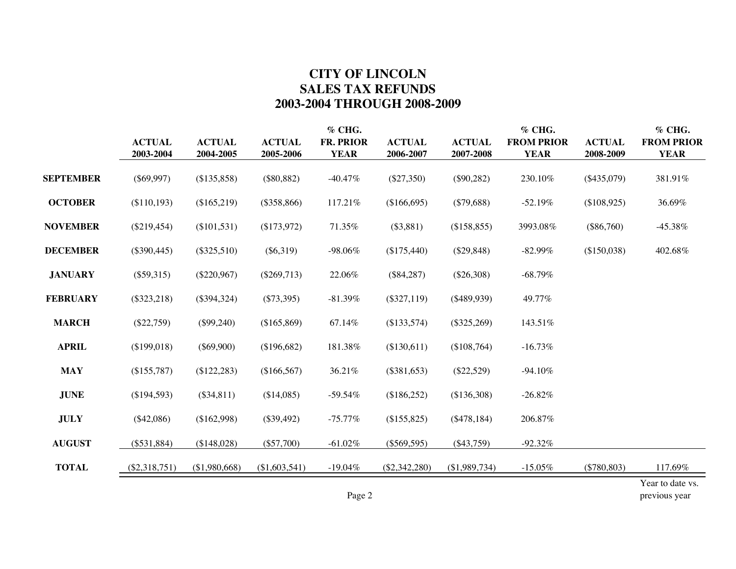## **CITY OF LINCOLN SALES TAX REFUNDS 2003-2004 THROUGH 2008-2009**

|                  |                 |               |               | % CHG.      |                 |               | % CHG.            |               | % CHG.            |
|------------------|-----------------|---------------|---------------|-------------|-----------------|---------------|-------------------|---------------|-------------------|
|                  | <b>ACTUAL</b>   | <b>ACTUAL</b> | <b>ACTUAL</b> | FR. PRIOR   | <b>ACTUAL</b>   | <b>ACTUAL</b> | <b>FROM PRIOR</b> | <b>ACTUAL</b> | <b>FROM PRIOR</b> |
|                  | 2003-2004       | 2004-2005     | 2005-2006     | <b>YEAR</b> | 2006-2007       | 2007-2008     | <b>YEAR</b>       | 2008-2009     | <b>YEAR</b>       |
| <b>SEPTEMBER</b> | $(\$69,997)$    | (\$135,858)   | $(\$80,882)$  | $-40.47\%$  | $(\$27,350)$    | $(\$90,282)$  | 230.10%           | $(\$435,079)$ | 381.91%           |
| <b>OCTOBER</b>   | (\$110,193)     | (\$165,219)   | $(\$358,866)$ | 117.21%     | (\$166,695)     | $(\$79,688)$  | $-52.19%$         | (\$108,925)   | 36.69%            |
| <b>NOVEMBER</b>  | $(\$219,454)$   | $(\$101,531)$ | (\$173,972)   | 71.35%      | $(\$3,881)$     | (\$158,855)   | 3993.08%          | $(\$86,760)$  | $-45.38\%$        |
| <b>DECEMBER</b>  | $(\$390,445)$   | $(\$325,510)$ | $(\$6,319)$   | $-98.06\%$  | (\$175,440)     | $(\$29,848)$  | $-82.99%$         | (\$150,038)   | 402.68%           |
| <b>JANUARY</b>   | $(\$59,315)$    | $(\$220,967)$ | $(\$269,713)$ | 22.06%      | $(\$84,287)$    | $(\$26,308)$  | $-68.79\%$        |               |                   |
| <b>FEBRUARY</b>  | $(\$323,218)$   | $(\$394,324)$ | $(\$73,395)$  | $-81.39\%$  | $(\$327,119)$   | $(\$489,939)$ | 49.77%            |               |                   |
| <b>MARCH</b>     | $(\$22,759)$    | $(\$99,240)$  | (\$165,869)   | 67.14%      | (\$133,574)     | $(\$325,269)$ | 143.51%           |               |                   |
| <b>APRIL</b>     | (\$199,018)     | $(\$69,900)$  | (\$196,682)   | 181.38%     | (\$130,611)     | (\$108,764)   | $-16.73\%$        |               |                   |
| <b>MAY</b>       | (\$155,787)     | (\$122, 283)  | (\$166,567)   | 36.21%      | $(\$381,653)$   | $(\$22,529)$  | $-94.10%$         |               |                   |
| <b>JUNE</b>      | (\$194,593)     | $(\$34,811)$  | (\$14,085)    | $-59.54%$   | (\$186,252)     | (\$136,308)   | $-26.82%$         |               |                   |
| <b>JULY</b>      | $(\$42,086)$    | (\$162,998)   | $(\$39,492)$  | $-75.77\%$  | (\$155,825)     | $(\$478,184)$ | 206.87%           |               |                   |
| <b>AUGUST</b>    | $(\$531,884)$   | (\$148,028)   | $(\$57,700)$  | $-61.02%$   | $(\$569,595)$   | $(\$43,759)$  | $-92.32%$         |               |                   |
| <b>TOTAL</b>     | $(\$2,318,751)$ | (\$1,980,668) | (\$1,603,541) | $-19.04%$   | $(\$2,342,280)$ | (\$1,989,734) | $-15.05%$         | $(*780,803)$  | 117.69%           |
|                  |                 |               |               |             |                 |               |                   |               | Year to date vs.  |

Page 2 previous year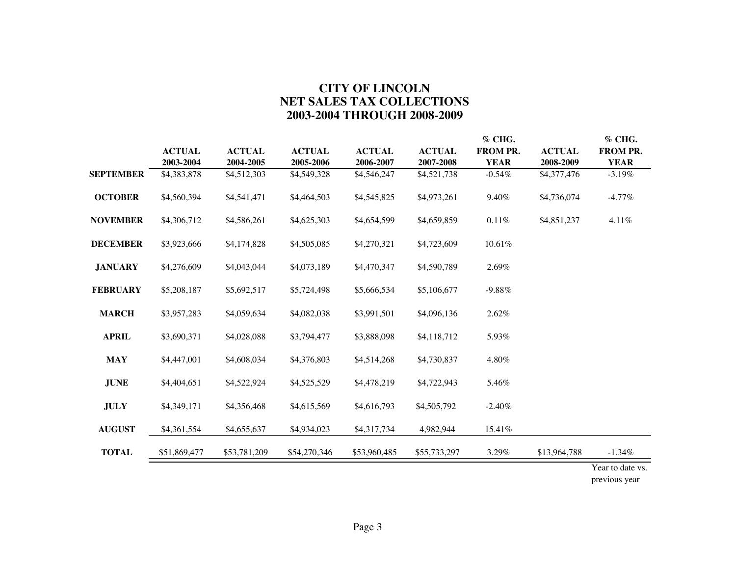### **CITY OF LINCOLN NET SALES TAX COLLECTIONS 2003-2004 THROUGH 2008-2009**

|                  |               |               |               |               |               | $%$ CHG.        |               | % CHG.           |
|------------------|---------------|---------------|---------------|---------------|---------------|-----------------|---------------|------------------|
|                  | <b>ACTUAL</b> | <b>ACTUAL</b> | <b>ACTUAL</b> | <b>ACTUAL</b> | <b>ACTUAL</b> | <b>FROM PR.</b> | <b>ACTUAL</b> | <b>FROM PR.</b>  |
|                  | 2003-2004     | 2004-2005     | 2005-2006     | 2006-2007     | 2007-2008     | <b>YEAR</b>     | 2008-2009     | <b>YEAR</b>      |
| <b>SEPTEMBER</b> | \$4,383,878   | \$4,512,303   | \$4,549,328   | \$4,546,247   | \$4,521,738   | $-0.54%$        | \$4,377,476   | $-3.19\%$        |
| <b>OCTOBER</b>   | \$4,560,394   | \$4,541,471   | \$4,464,503   | \$4,545,825   | \$4,973,261   | 9.40%           | \$4,736,074   | $-4.77\%$        |
| <b>NOVEMBER</b>  | \$4,306,712   | \$4,586,261   | \$4,625,303   | \$4,654,599   | \$4,659,859   | $0.11\%$        | \$4,851,237   | 4.11%            |
| <b>DECEMBER</b>  | \$3,923,666   | \$4,174,828   | \$4,505,085   | \$4,270,321   | \$4,723,609   | 10.61%          |               |                  |
| <b>JANUARY</b>   | \$4,276,609   | \$4,043,044   | \$4,073,189   | \$4,470,347   | \$4,590,789   | 2.69%           |               |                  |
| <b>FEBRUARY</b>  | \$5,208,187   | \$5,692,517   | \$5,724,498   | \$5,666,534   | \$5,106,677   | $-9.88%$        |               |                  |
| <b>MARCH</b>     | \$3,957,283   | \$4,059,634   | \$4,082,038   | \$3,991,501   | \$4,096,136   | 2.62%           |               |                  |
| <b>APRIL</b>     | \$3,690,371   | \$4,028,088   | \$3,794,477   | \$3,888,098   | \$4,118,712   | 5.93%           |               |                  |
| <b>MAY</b>       | \$4,447,001   | \$4,608,034   | \$4,376,803   | \$4,514,268   | \$4,730,837   | 4.80%           |               |                  |
| <b>JUNE</b>      | \$4,404,651   | \$4,522,924   | \$4,525,529   | \$4,478,219   | \$4,722,943   | 5.46%           |               |                  |
| <b>JULY</b>      | \$4,349,171   | \$4,356,468   | \$4,615,569   | \$4,616,793   | \$4,505,792   | $-2.40%$        |               |                  |
| <b>AUGUST</b>    | \$4,361,554   | \$4,655,637   | \$4,934,023   | \$4,317,734   | 4,982,944     | 15.41%          |               |                  |
| <b>TOTAL</b>     | \$51,869,477  | \$53,781,209  | \$54,270,346  | \$53,960,485  | \$55,733,297  | 3.29%           | \$13,964,788  | $-1.34\%$        |
|                  |               |               |               |               |               |                 |               | Year to date vs. |

previous year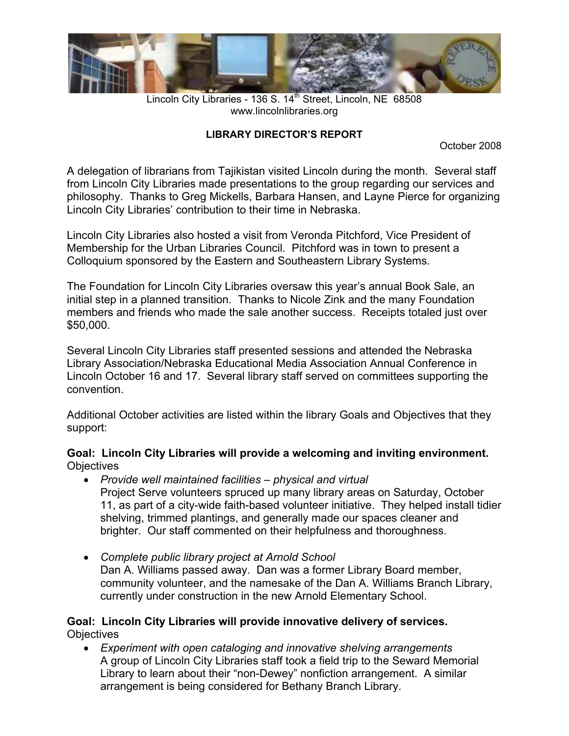

Lincoln City Libraries - 136 S. 14<sup>th</sup> Street, Lincoln, NE 68508 www.lincolnlibraries.org

#### **LIBRARY DIRECTOR'S REPORT**

October 2008

A delegation of librarians from Tajikistan visited Lincoln during the month. Several staff from Lincoln City Libraries made presentations to the group regarding our services and philosophy. Thanks to Greg Mickells, Barbara Hansen, and Layne Pierce for organizing Lincoln City Libraries' contribution to their time in Nebraska.

Lincoln City Libraries also hosted a visit from Veronda Pitchford, Vice President of Membership for the Urban Libraries Council. Pitchford was in town to present a Colloquium sponsored by the Eastern and Southeastern Library Systems.

The Foundation for Lincoln City Libraries oversaw this year's annual Book Sale, an initial step in a planned transition. Thanks to Nicole Zink and the many Foundation members and friends who made the sale another success. Receipts totaled just over \$50,000.

Several Lincoln City Libraries staff presented sessions and attended the Nebraska Library Association/Nebraska Educational Media Association Annual Conference in Lincoln October 16 and 17. Several library staff served on committees supporting the convention.

Additional October activities are listed within the library Goals and Objectives that they support:

#### **Goal: Lincoln City Libraries will provide a welcoming and inviting environment. Objectives**

- *Provide well maintained facilities physical and virtual*  Project Serve volunteers spruced up many library areas on Saturday, October 11, as part of a city-wide faith-based volunteer initiative. They helped install tidier shelving, trimmed plantings, and generally made our spaces cleaner and brighter. Our staff commented on their helpfulness and thoroughness.
- *Complete public library project at Arnold School*  Dan A. Williams passed away. Dan was a former Library Board member, community volunteer, and the namesake of the Dan A. Williams Branch Library, currently under construction in the new Arnold Elementary School.

#### **Goal: Lincoln City Libraries will provide innovative delivery of services. Objectives**

• *Experiment with open cataloging and innovative shelving arrangements*  A group of Lincoln City Libraries staff took a field trip to the Seward Memorial Library to learn about their "non-Dewey" nonfiction arrangement. A similar arrangement is being considered for Bethany Branch Library.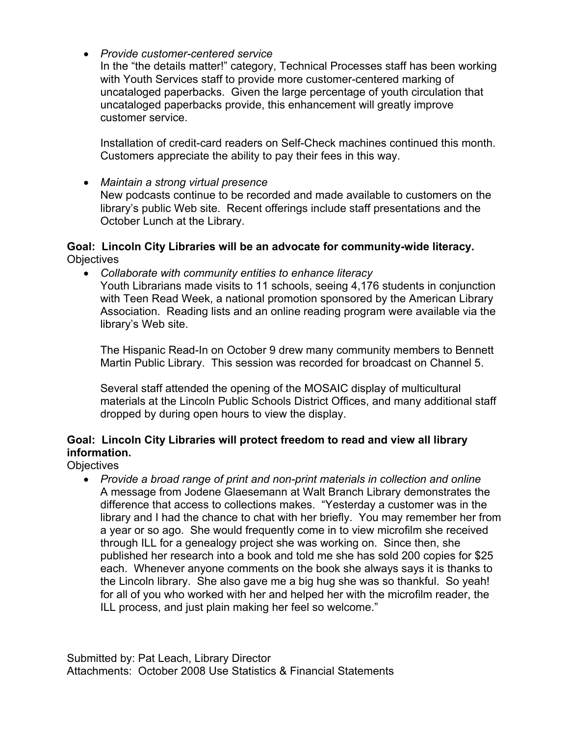• *Provide customer-centered service* 

In the "the details matter!" category, Technical Processes staff has been working with Youth Services staff to provide more customer-centered marking of uncataloged paperbacks. Given the large percentage of youth circulation that uncataloged paperbacks provide, this enhancement will greatly improve customer service.

Installation of credit-card readers on Self-Check machines continued this month. Customers appreciate the ability to pay their fees in this way.

• *Maintain a strong virtual presence*  New podcasts continue to be recorded and made available to customers on the library's public Web site. Recent offerings include staff presentations and the October Lunch at the Library.

#### **Goal: Lincoln City Libraries will be an advocate for community-wide literacy. Objectives**

• *Collaborate with community entities to enhance literacy*  Youth Librarians made visits to 11 schools, seeing 4,176 students in conjunction with Teen Read Week, a national promotion sponsored by the American Library Association. Reading lists and an online reading program were available via the library's Web site.

The Hispanic Read-In on October 9 drew many community members to Bennett Martin Public Library. This session was recorded for broadcast on Channel 5.

Several staff attended the opening of the MOSAIC display of multicultural materials at the Lincoln Public Schools District Offices, and many additional staff dropped by during open hours to view the display.

## **Goal: Lincoln City Libraries will protect freedom to read and view all library information.**

**Objectives** 

• *Provide a broad range of print and non-print materials in collection and online*  A message from Jodene Glaesemann at Walt Branch Library demonstrates the difference that access to collections makes. "Yesterday a customer was in the library and I had the chance to chat with her briefly. You may remember her from a year or so ago. She would frequently come in to view microfilm she received through ILL for a genealogy project she was working on. Since then, she published her research into a book and told me she has sold 200 copies for \$25 each. Whenever anyone comments on the book she always says it is thanks to the Lincoln library. She also gave me a big hug she was so thankful. So yeah! for all of you who worked with her and helped her with the microfilm reader, the ILL process, and just plain making her feel so welcome."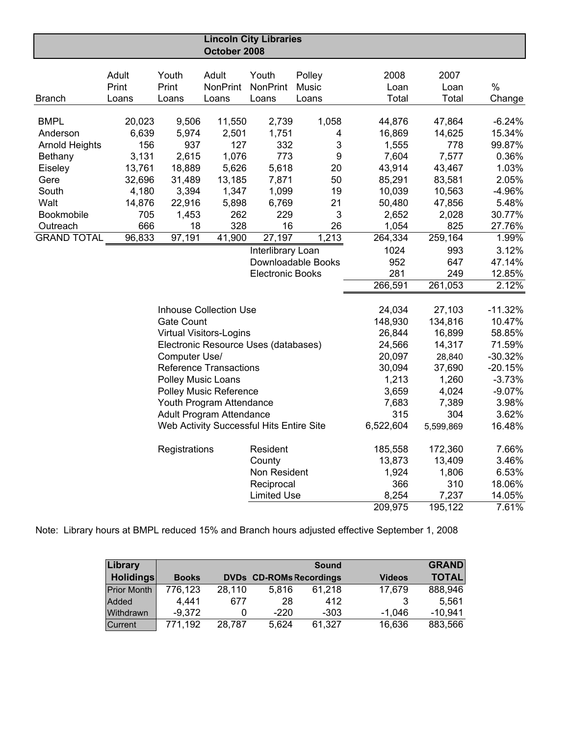|                       |                                       |                           | October 2008                    | <b>Lincoln City Libraries</b>            |        |                  |           |           |           |
|-----------------------|---------------------------------------|---------------------------|---------------------------------|------------------------------------------|--------|------------------|-----------|-----------|-----------|
|                       |                                       |                           |                                 |                                          |        |                  |           |           |           |
|                       | Adult                                 | Youth                     | Adult                           | Youth                                    | Polley |                  | 2008      | 2007      |           |
|                       | Print                                 | Print                     | <b>NonPrint</b>                 | <b>NonPrint</b>                          | Music  |                  | Loan      | Loan      | %         |
| <b>Branch</b>         | Loans                                 | Loans                     | Loans                           | Loans                                    | Loans  |                  | Total     | Total     | Change    |
| <b>BMPL</b>           | 20,023                                | 9,506                     | 11,550                          | 2,739                                    | 1,058  |                  | 44,876    | 47,864    | $-6.24%$  |
| Anderson              | 6,639                                 | 5,974                     | 2,501                           | 1,751                                    |        | 4                | 16,869    | 14,625    | 15.34%    |
| <b>Arnold Heights</b> | 156                                   | 937                       | 127                             | 332                                      |        | 3                | 1,555     | 778       | 99.87%    |
| Bethany               | 3,131                                 | 2,615                     | 1,076                           | 773                                      |        | $\boldsymbol{9}$ | 7,604     | 7,577     | 0.36%     |
| Eiseley               | 13,761                                | 18,889                    | 5,626                           | 5,618                                    |        | 20               | 43,914    | 43,467    | 1.03%     |
| Gere                  | 32,696                                | 31,489                    | 13,185                          | 7,871                                    |        | 50               | 85,291    | 83,581    | 2.05%     |
| South                 | 4,180                                 | 3,394                     | 1,347                           | 1,099                                    |        | 19               | 10,039    | 10,563    | $-4.96%$  |
| Walt                  | 14,876                                | 22,916                    | 5,898                           | 6,769                                    |        | 21               | 50,480    | 47,856    | 5.48%     |
| Bookmobile            | 705                                   | 1,453                     | 262                             | 229                                      |        | 3                | 2,652     | 2,028     | 30.77%    |
| Outreach              | 666                                   | 18                        | 328                             | 16                                       |        | 26               | 1,054     | 825       | 27.76%    |
| <b>GRAND TOTAL</b>    | 96,833                                | 97,191                    | 41,900                          | 27,197                                   | 1,213  |                  | 264,334   | 259,164   | 1.99%     |
|                       |                                       |                           |                                 | Interlibrary Loan                        |        |                  | 1024      | 993       | 3.12%     |
|                       |                                       |                           |                                 | Downloadable Books                       |        |                  | 952       | 647       | 47.14%    |
|                       | 281<br>249<br><b>Electronic Books</b> |                           |                                 |                                          |        | 12.85%           |           |           |           |
|                       | 266,591<br>261,053                    |                           |                                 |                                          |        | 2.12%            |           |           |           |
|                       |                                       |                           |                                 |                                          |        |                  |           |           |           |
|                       |                                       |                           | <b>Inhouse Collection Use</b>   |                                          |        |                  | 24,034    | 27,103    | $-11.32%$ |
|                       |                                       | <b>Gate Count</b>         |                                 |                                          |        |                  | 148,930   | 134,816   | 10.47%    |
|                       |                                       |                           | <b>Virtual Visitors-Logins</b>  |                                          |        |                  | 26,844    | 16,899    | 58.85%    |
|                       |                                       |                           |                                 | Electronic Resource Uses (databases)     |        |                  | 24,566    | 14,317    | 71.59%    |
|                       |                                       | Computer Use/             |                                 |                                          |        |                  | 20,097    | 28,840    | $-30.32%$ |
|                       |                                       |                           | <b>Reference Transactions</b>   |                                          |        |                  | 30,094    | 37,690    | $-20.15%$ |
|                       |                                       | <b>Polley Music Loans</b> |                                 |                                          |        |                  | 1,213     | 1,260     | $-3.73%$  |
|                       |                                       |                           | Polley Music Reference          |                                          |        |                  | 3,659     | 4,024     | $-9.07%$  |
|                       |                                       |                           | Youth Program Attendance        |                                          |        |                  | 7,683     | 7,389     | 3.98%     |
|                       |                                       |                           | <b>Adult Program Attendance</b> |                                          |        |                  | 315       | 304       | 3.62%     |
|                       |                                       |                           |                                 | Web Activity Successful Hits Entire Site |        |                  | 6,522,604 | 5,599,869 | 16.48%    |
|                       |                                       | Registrations             |                                 | Resident                                 |        |                  | 185,558   | 172,360   | 7.66%     |
|                       |                                       |                           |                                 | County                                   |        |                  | 13,873    | 13,409    | 3.46%     |
|                       |                                       |                           |                                 | Non Resident                             |        |                  | 1,924     | 1,806     | 6.53%     |
|                       |                                       |                           |                                 | Reciprocal                               |        |                  | 366       | 310       | 18.06%    |
|                       |                                       |                           |                                 | <b>Limited Use</b>                       |        |                  | 8,254     | 7,237     | 14.05%    |
|                       |                                       |                           |                                 |                                          |        |                  | 209,975   | 195, 122  | 7.61%     |

Note: Library hours at BMPL reduced 15% and Branch hours adjusted effective September 1, 2008

| Library            |              |        |                                | <b>Sound</b> |               | <b>GRAND</b> |
|--------------------|--------------|--------|--------------------------------|--------------|---------------|--------------|
| <b>Holidings</b>   | <b>Books</b> |        | <b>DVDs CD-ROMs Recordings</b> |              | <b>Videos</b> | <b>TOTAL</b> |
| <b>Prior Month</b> | 776,123      | 28,110 | 5,816                          | 61,218       | 17,679        | 888,946      |
| Added              | 4.441        | 677    | 28                             | 412          |               | 5.561        |
| Withdrawn          | $-9.372$     |        | $-220$                         | $-303$       | $-1.046$      | $-10.941$    |
| <b>Current</b>     | 771,192      | 28,787 | 5,624                          | 61,327       | 16,636        | 883,566      |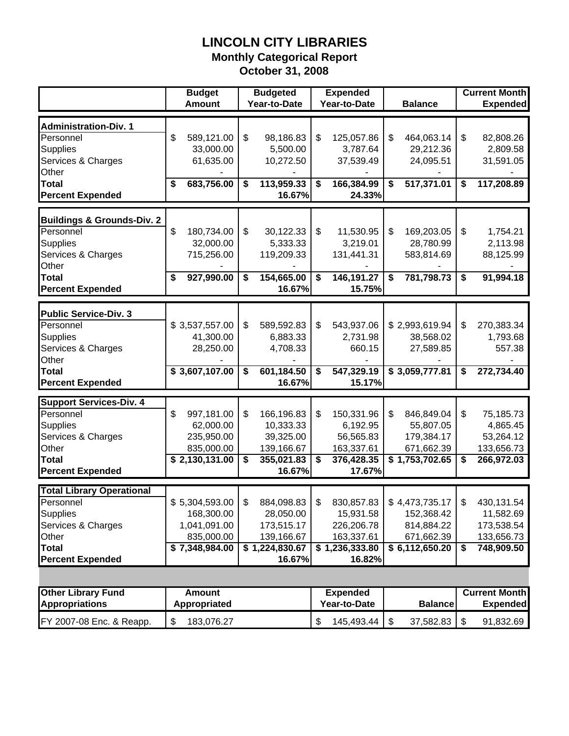## **LINCOLN CITY LIBRARIES**

**Monthly Categorical Report**

**October 31, 2008**

|                                           | <b>Budget</b><br><b>Amount</b>          |     | <b>Budgeted</b><br>Year-to-Date |                           | <b>Expended</b><br>Year-to-Date |        | <b>Balance</b> | <b>Current Month</b><br><b>Expended</b> |
|-------------------------------------------|-----------------------------------------|-----|---------------------------------|---------------------------|---------------------------------|--------|----------------|-----------------------------------------|
| <b>Administration-Div. 1</b><br>Personnel | \$<br>589,121.00                        | \$  | 98,186.83                       | \$                        | 125,057.86                      | \$     | 464,063.14     | \$<br>82,808.26                         |
| <b>Supplies</b>                           | 33,000.00                               |     | 5,500.00                        |                           | 3,787.64                        |        | 29,212.36      | 2,809.58                                |
| Services & Charges                        | 61,635.00                               |     | 10,272.50                       |                           | 37,539.49                       |        | 24,095.51      | 31,591.05                               |
| Other                                     |                                         |     |                                 |                           |                                 |        |                |                                         |
| <b>Total</b>                              | 683,756.00<br>\$                        | \$  | 113,959.33                      | \$                        | 166,384.99                      | \$     | 517,371.01     | \$<br>117,208.89                        |
| <b>Percent Expended</b>                   |                                         |     | 16.67%                          |                           | 24.33%                          |        |                |                                         |
| <b>Buildings &amp; Grounds-Div. 2</b>     |                                         |     |                                 |                           |                                 |        |                |                                         |
| Personnel                                 | \$<br>180,734.00                        | \$  | 30,122.33                       | $\boldsymbol{\mathsf{S}}$ | 11,530.95                       | \$     | 169,203.05     | \$<br>1,754.21                          |
| <b>Supplies</b>                           | 32,000.00                               |     | 5,333.33                        |                           | 3,219.01                        |        | 28,780.99      | 2,113.98                                |
| Services & Charges                        | 715,256.00                              |     | 119,209.33                      |                           | 131,441.31                      |        | 583,814.69     | 88,125.99                               |
| Other                                     |                                         |     |                                 |                           |                                 |        |                |                                         |
| <b>Total</b><br><b>Percent Expended</b>   | \$<br>927,990.00                        | \$  | 154,665.00<br>16.67%            | \$                        | 146,191.27<br>15.75%            | \$     | 781,798.73     | \$<br>91,994.18                         |
|                                           |                                         |     |                                 |                           |                                 |        |                |                                         |
| <b>Public Service-Div. 3</b>              |                                         |     |                                 |                           |                                 |        |                |                                         |
| Personnel                                 | \$3,537,557.00                          | \$  | 589,592.83                      | \$                        | 543,937.06                      |        | \$2,993,619.94 | \$<br>270,383.34                        |
| <b>Supplies</b>                           | 41,300.00                               |     | 6,883.33                        |                           | 2,731.98                        |        | 38,568.02      | 1,793.68                                |
| Services & Charges<br>Other               | 28,250.00                               |     | 4,708.33                        |                           | 660.15                          |        | 27,589.85      | 557.38                                  |
| Total                                     | \$3,607,107.00                          | \$  | 601,184.50                      | \$                        | 547,329.19                      |        | \$3,059,777.81 | \$<br>272,734.40                        |
| <b>Percent Expended</b>                   |                                         |     | 16.67%                          |                           | 15.17%                          |        |                |                                         |
| <b>Support Services-Div. 4</b>            |                                         |     |                                 |                           |                                 |        |                |                                         |
| Personnel                                 | \$<br>997,181.00                        | \$  | 166,196.83                      | \$                        | 150,331.96                      | \$     | 846,849.04     | \$<br>75,185.73                         |
| <b>Supplies</b>                           | 62,000.00                               |     | 10,333.33                       |                           | 6,192.95                        |        | 55,807.05      | 4,865.45                                |
| Services & Charges                        | 235,950.00                              |     | 39,325.00                       |                           | 56,565.83                       |        | 179,384.17     | 53,264.12                               |
| Other                                     | 835,000.00                              |     | 139,166.67                      |                           | 163,337.61                      |        | 671,662.39     | 133,656.73                              |
| Total                                     | \$2,130,131.00                          | \$  | 355,021.83                      | \$                        | 376,428.35                      |        | \$1,753,702.65 | \$<br>266,972.03                        |
| <b>Percent Expended</b>                   |                                         |     | 16.67%                          |                           | 17.67%                          |        |                |                                         |
| <b>Total Library Operational</b>          |                                         |     |                                 |                           |                                 |        |                |                                         |
| Personnel                                 | \$5,304,593.00                          | \$. | 884,098.83                      | $\mathbb{S}$              | 830,857.83                      |        | \$4,473,735.17 | \$<br>430,131.54                        |
| <b>Supplies</b>                           | 168,300.00                              |     | 28,050.00                       |                           | 15,931.58                       |        | 152,368.42     | 11,582.69                               |
| Services & Charges                        | 1,041,091.00                            |     | 173,515.17                      |                           | 226,206.78                      |        | 814,884.22     | 173,538.54                              |
| Other                                     | 835,000.00                              |     | 139,166.67                      |                           | 163,337.61                      |        | 671,662.39     | 133,656.73                              |
| <b>Total</b>                              | \$7,348,984.00                          |     | \$1,224,830.67                  |                           | \$1,236,333.80                  |        | \$6,112,650.20 | \$<br>748,909.50                        |
| <b>Percent Expended</b>                   |                                         |     | 16.67%                          |                           | 16.82%                          |        |                |                                         |
|                                           |                                         |     |                                 |                           |                                 |        |                |                                         |
| <b>Other Library Fund</b>                 | <b>Amount</b>                           |     |                                 |                           | <b>Expended</b>                 |        |                | <b>Current Month</b>                    |
| <b>Appropriations</b>                     | Appropriated                            |     |                                 |                           | Year-to-Date                    |        | <b>Balance</b> | <b>Expended</b>                         |
| FY 2007-08 Enc. & Reapp.                  | $\boldsymbol{\mathsf{S}}$<br>183,076.27 |     |                                 | \$                        | 145,493.44                      | $\$\,$ | 37,582.83      | \$<br>91,832.69                         |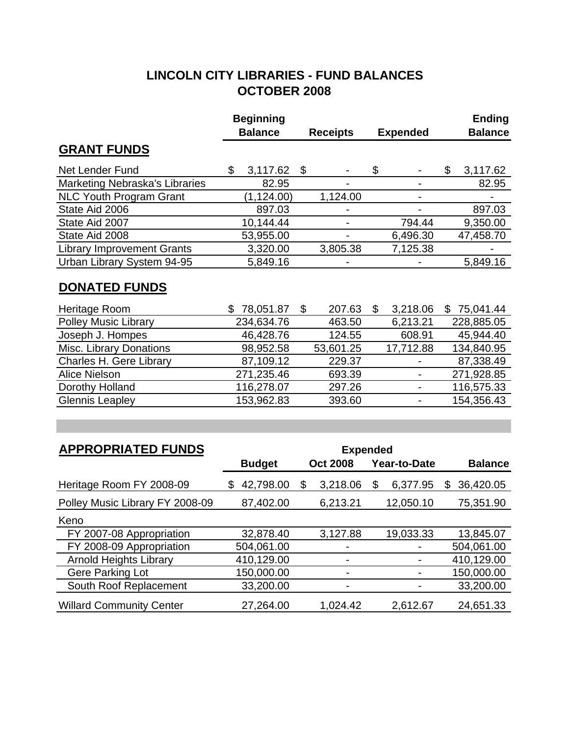## **LINCOLN CITY LIBRARIES - FUND BALANCES OCTOBER 2008**

|                                                        | <b>Beginning</b> |              |                 |                |                     | <b>Ending</b>   |
|--------------------------------------------------------|------------------|--------------|-----------------|----------------|---------------------|-----------------|
|                                                        | <b>Balance</b>   |              | <b>Receipts</b> |                | <b>Expended</b>     | <b>Balance</b>  |
| <b>GRANT FUNDS</b>                                     |                  |              |                 |                |                     |                 |
| Net Lender Fund                                        | \$<br>3,117.62   | \$           |                 | \$             | ۰                   | \$<br>3,117.62  |
| Marketing Nebraska's Libraries                         | 82.95            |              |                 |                |                     | 82.95           |
| <b>NLC Youth Program Grant</b>                         | (1, 124.00)      |              | 1,124.00        |                | ÷,                  |                 |
| State Aid 2006                                         | 897.03           |              |                 |                |                     | 897.03          |
| State Aid 2007                                         | 10,144.44        |              | ÷,              |                | 794.44              | 9,350.00        |
| State Aid 2008                                         | 53,955.00        |              |                 |                | 6,496.30            | 47,458.70       |
| <b>Library Improvement Grants</b>                      | 3,320.00         |              | 3,805.38        |                | 7,125.38            |                 |
| Urban Library System 94-95                             | 5,849.16         |              |                 |                |                     | 5,849.16        |
| <b>DONATED FUNDS</b>                                   |                  |              |                 |                |                     |                 |
| Heritage Room                                          | 78,051.87<br>\$  | \$           | 207.63          | $\mathfrak{S}$ | 3,218.06            | \$75,041.44     |
| <b>Polley Music Library</b>                            | 234,634.76       |              | 463.50          |                | 6,213.21            | 228,885.05      |
| Joseph J. Hompes                                       | 46,428.76        |              | 124.55          |                | 608.91              | 45,944.40       |
| Misc. Library Donations                                | 98,952.58        |              | 53,601.25       |                | 17,712.88           | 134,840.95      |
| Charles H. Gere Library                                | 87,109.12        |              | 229.37          |                |                     | 87,338.49       |
| <b>Alice Nielson</b>                                   | 271,235.46       |              | 693.39          |                | ÷,                  | 271,928.85      |
| Dorothy Holland                                        | 116,278.07       |              | 297.26          |                | $\blacksquare$      | 116,575.33      |
| <b>Glennis Leapley</b>                                 | 153,962.83       |              | 393.60          |                | ٠                   | 154,356.43      |
|                                                        |                  |              |                 |                |                     |                 |
| <b>APPROPRIATED FUNDS</b>                              |                  |              | <b>Expended</b> |                |                     |                 |
|                                                        | <b>Budget</b>    |              | <b>Oct 2008</b> |                | <b>Year-to-Date</b> | <b>Balance</b>  |
| Heritage Room FY 2008-09                               | 42,798.00<br>S.  | $\mathbb{S}$ | 3,218.06        | $\mathfrak{S}$ | 6,377.95            | \$<br>36,420.05 |
| $D_2$ lla $\ldots$ Music Library, $\Gamma$ V, 0000, 00 | 07.100.00        |              | 0.010.01        |                | 10.05010            | 75.054.00       |

| Polley Music Library FY 2008-09 | 87,402.00  | 6,213.21                 | 12,050.10 | 75,351.90  |
|---------------------------------|------------|--------------------------|-----------|------------|
| Keno                            |            |                          |           |            |
| FY 2007-08 Appropriation        | 32,878.40  | 3,127.88                 | 19,033.33 | 13,845.07  |
| FY 2008-09 Appropriation        | 504,061.00 | $\overline{\phantom{a}}$ | ۰         | 504,061.00 |
| <b>Arnold Heights Library</b>   | 410,129.00 |                          |           | 410,129.00 |
| Gere Parking Lot                | 150,000.00 | $\blacksquare$           | ۰         | 150,000.00 |
| South Roof Replacement          | 33,200.00  | $\blacksquare$           | ۰         | 33,200.00  |
| <b>Willard Community Center</b> | 27,264.00  | 1,024.42                 | 2,612.67  | 24,651.33  |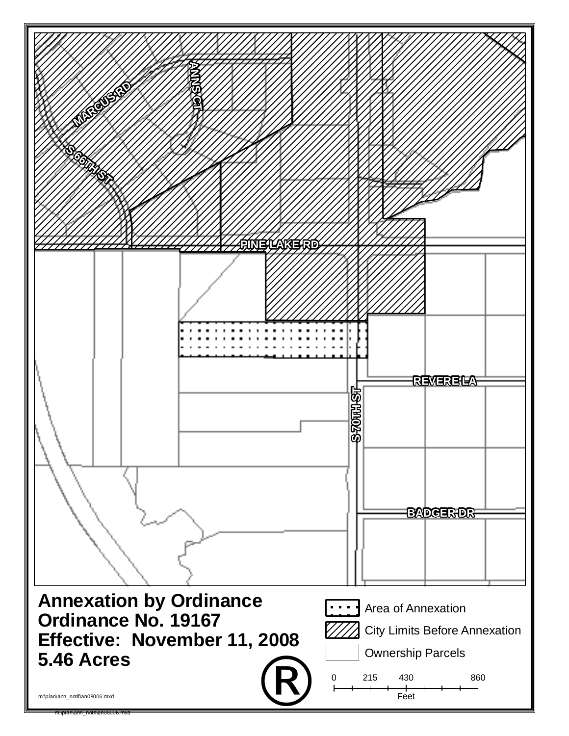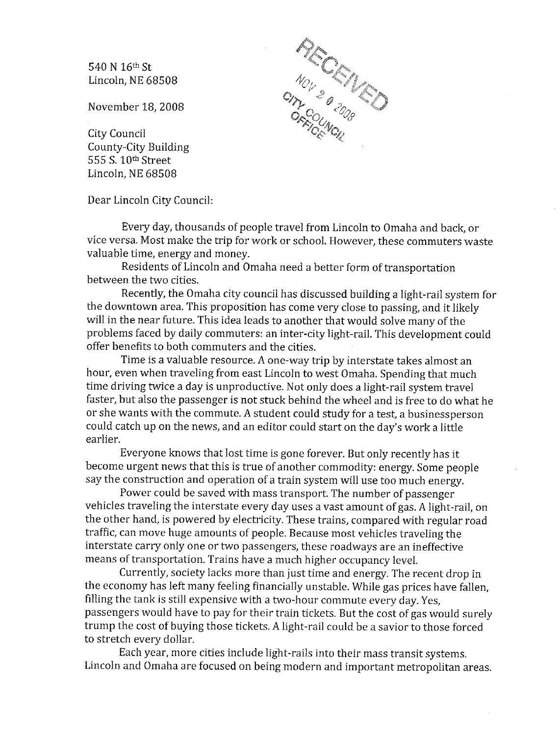540 N 16th St Lincoln, NE 68508

November 18, 2008

City Council County-City Building 555 S. 10th Street Lincoln. NE 68508

Dear Lincoln City Council:

Every day, thousands of people travel from Lincoln to Omaha and back, or vice versa. Most make the trip for work or school. However, these commuters waste valuable time, energy and money.

Residents of Lincoln and Omaha need a better form of transportation between the two cities.

Recently, the Omaha city council has discussed building a light-rail system for the downtown area. This proposition has come very close to passing, and it likely will in the near future. This idea leads to another that would solve many of the problems faced by daily commuters: an inter-city light-rail. This development could offer benefits to both commuters and the cities.

Time is a valuable resource. A one-way trip by interstate takes almost an hour, even when traveling from east Lincoln to west Omaha. Spending that much time driving twice a day is unproductive. Not only does a light-rail system travel faster, but also the passenger is not stuck behind the wheel and is free to do what he or she wants with the commute. A student could study for a test, a businessperson could catch up on the news, and an editor could start on the day's work a little earlier.

Everyone knows that lost time is gone forever. But only recently has it become urgent news that this is true of another commodity: energy. Some people say the construction and operation of a train system will use too much energy.

Power could be saved with mass transport. The number of passenger vehicles traveling the interstate every day uses a vast amount of gas. A light-rail, on the other hand, is powered by electricity. These trains, compared with regular road traffic, can move huge amounts of people. Because most vehicles traveling the interstate carry only one or two passengers, these roadways are an ineffective means of transportation. Trains have a much higher occupancy level.

Currently, society lacks more than just time and energy. The recent drop in the economy has left many feeling financially unstable. While gas prices have fallen, filling the tank is still expensive with a two-hour commute every day. Yes. passengers would have to pay for their train tickets. But the cost of gas would surely trump the cost of buying those tickets. A light-rail could be a savior to those forced to stretch every dollar.

Each year, more cities include light-rails into their mass transit systems. Lincoln and Omaha are focused on being modern and important metropolitan areas.

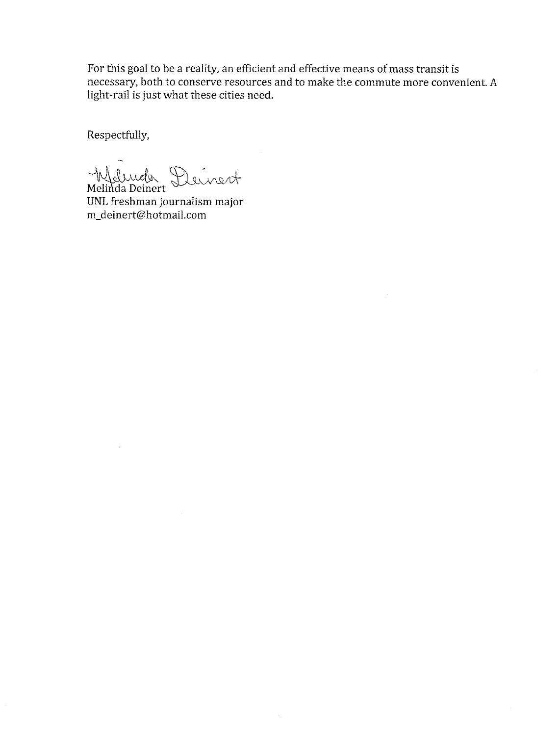For this goal to be a reality, an efficient and effective means of mass transit is necessary, both to conserve resources and to make the commute more convenient. A light-rail is just what these cities need.

Respectfully,

Weburder Deinert

UNL freshman journalism major m\_deinert@hotmail.com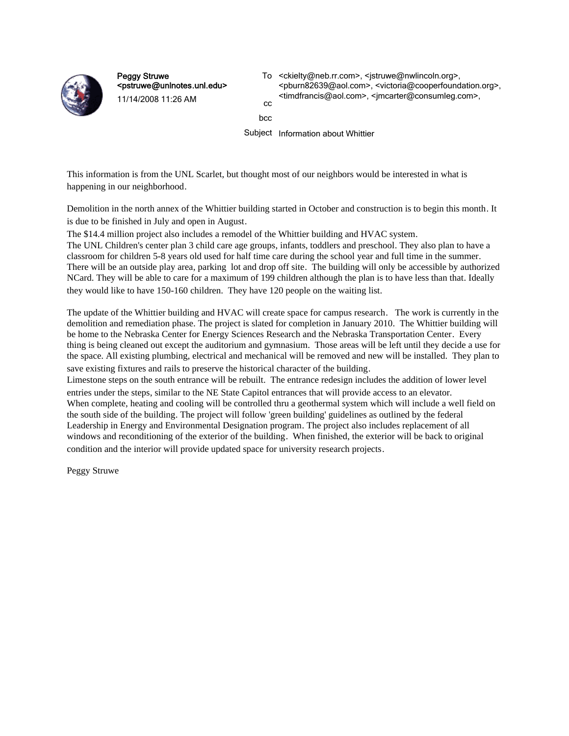

Peggy Struwe <pstruwe@unlnotes.unl.edu> 11/14/2008 11:26 AM

To <ckielty@neb.rr.com>, <jstruwe@nwlincoln.org>, <pburn82639@aol.com>, <victoria@cooperfoundation.org>, <timdfrancis@aol.com>, <jmcarter@consumleg.com>, cc

bcc

Subject Information about Whittier

This information is from the UNL Scarlet, but thought most of our neighbors would be interested in what is happening in our neighborhood.

Demolition in the north annex of the Whittier building started in October and construction is to begin this month. It is due to be finished in July and open in August.

The \$14.4 million project also includes a remodel of the Whittier building and HVAC system.

The UNL Children's center plan 3 child care age groups, infants, toddlers and preschool. They also plan to have a classroom for children 5-8 years old used for half time care during the school year and full time in the summer. There will be an outside play area, parking lot and drop off site. The building will only be accessible by authorized NCard. They will be able to care for a maximum of 199 children although the plan is to have less than that. Ideally they would like to have 150-160 children. They have 120 people on the waiting list.

The update of the Whittier building and HVAC will create space for campus research. The work is currently in the demolition and remediation phase. The project is slated for completion in January 2010. The Whittier building will be home to the Nebraska Center for Energy Sciences Research and the Nebraska Transportation Center. Every thing is being cleaned out except the auditorium and gymnasium. Those areas will be left until they decide a use for the space. All existing plumbing, electrical and mechanical will be removed and new will be installed. They plan to save existing fixtures and rails to preserve the historical character of the building.

Limestone steps on the south entrance will be rebuilt. The entrance redesign includes the addition of lower level entries under the steps, similar to the NE State Capitol entrances that will provide access to an elevator. When complete, heating and cooling will be controlled thru a geothermal system which will include a well field on the south side of the building. The project will follow 'green building' guidelines as outlined by the federal Leadership in Energy and Environmental Designation program. The project also includes replacement of all windows and reconditioning of the exterior of the building. When finished, the exterior will be back to original condition and the interior will provide updated space for university research projects.

Peggy Struwe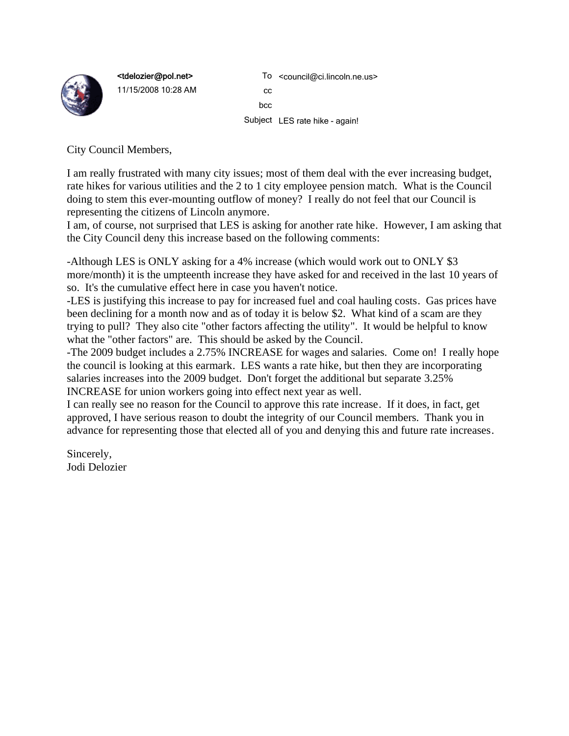

<tdelozier@pol.net> 11/15/2008 10:28 AM

To <council@ci.lincoln.ne.us> cc bcc Subject LES rate hike - again!

City Council Members,

I am really frustrated with many city issues; most of them deal with the ever increasing budget, rate hikes for various utilities and the 2 to 1 city employee pension match. What is the Council doing to stem this ever-mounting outflow of money? I really do not feel that our Council is representing the citizens of Lincoln anymore.

I am, of course, not surprised that LES is asking for another rate hike. However, I am asking that the City Council deny this increase based on the following comments:

-Although LES is ONLY asking for a 4% increase (which would work out to ONLY \$3 more/month) it is the umpteenth increase they have asked for and received in the last 10 years of so. It's the cumulative effect here in case you haven't notice.

-LES is justifying this increase to pay for increased fuel and coal hauling costs. Gas prices have been declining for a month now and as of today it is below \$2. What kind of a scam are they trying to pull? They also cite "other factors affecting the utility". It would be helpful to know what the "other factors" are. This should be asked by the Council.

-The 2009 budget includes a 2.75% INCREASE for wages and salaries. Come on! I really hope the council is looking at this earmark. LES wants a rate hike, but then they are incorporating salaries increases into the 2009 budget. Don't forget the additional but separate 3.25% INCREASE for union workers going into effect next year as well.

I can really see no reason for the Council to approve this rate increase. If it does, in fact, get approved, I have serious reason to doubt the integrity of our Council members. Thank you in advance for representing those that elected all of you and denying this and future rate increases.

Sincerely, Jodi Delozier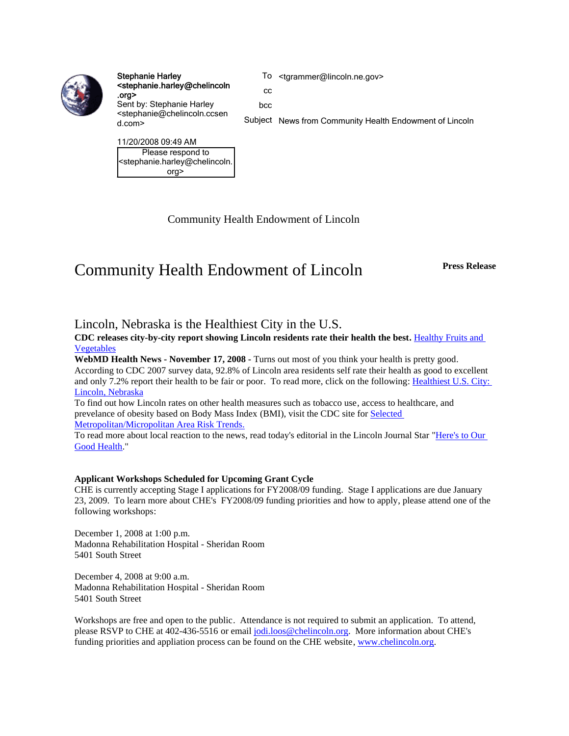

Stephanie Harley <stephanie.harley@chelincoln .org> Sent by: Stephanie Harley <stephanie@chelincoln.ccsen d.com>

To <tgrammer@lincoln.ne.gov>

cc

bcc

Subject News from Community Health Endowment of Lincoln

11/20/2008 09:49 AM Please respond to <stephanie.harley@chelincoln. org>

Community Health Endowment of Lincoln

# Community Health Endowment of Lincoln **Press Release**

#### Lincoln, Nebraska is the Healthiest City in the U.S.

**CDC releases city-by-city report showing Lincoln residents rate their health the best.** Healthy Fruits and Vegetables

**WebMD Health News - November 17, 2008 -** Turns out most of you think your health is pretty good. According to CDC 2007 survey data, 92.8% of Lincoln area residents self rate their health as good to excellent and only 7.2% report their health to be fair or poor. To read more, click on the following: Healthiest U.S. City: Lincoln, Nebraska

To find out how Lincoln rates on other health measures such as tobacco use, access to healthcare, and prevelance of obesity based on Body Mass Index (BMI), visit the CDC site for Selected Metropolitan/Micropolitan Area Risk Trends.

To read more about local reaction to the news, read today's editorial in the Lincoln Journal Star "Here's to Our Good Health."

#### **Applicant Workshops Scheduled for Upcoming Grant Cycle**

CHE is currently accepting Stage I applications for FY2008/09 funding. Stage I applications are due January 23, 2009. To learn more about CHE's FY2008/09 funding priorities and how to apply, please attend one of the following workshops:

December 1, 2008 at 1:00 p.m. Madonna Rehabilitation Hospital - Sheridan Room 5401 South Street

December 4, 2008 at 9:00 a.m. Madonna Rehabilitation Hospital - Sheridan Room 5401 South Street

Workshops are free and open to the public. Attendance is not required to submit an application. To attend, please RSVP to CHE at 402-436-5516 or email jodi.loos@chelincoln.org. More information about CHE's funding priorities and appliation process can be found on the CHE website, www.chelincoln.org.